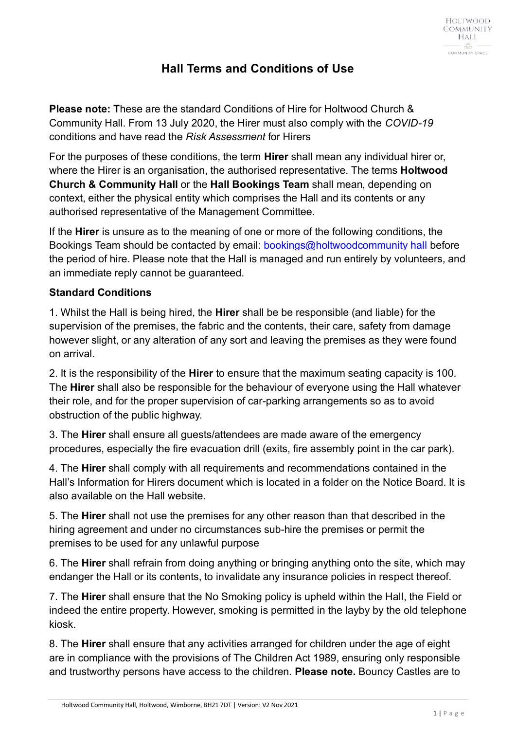## **Hall Terms and Conditions of Use**

**Please note: T**hese are the standard Conditions of Hire for Holtwood Church & Community Hall. From 13 July 2020, the Hirer must also comply with the *[COVID-19](http://www.holtvillagehall.co.uk/COVID-19/covid-19.html)* conditions and have read the *[Risk Assessment](http://www.holtvillagehall.co.uk/COVID-19/Risk-Assessment/risk-assessment.html)* for Hirers

For the purposes of these conditions, the term **Hirer** shall mean any individual hirer or, where the Hirer is an organisation, the authorised representative. The terms **Holtwood Church & Community Hall** or the **Hall Bookings Team** shall mean, depending on context, either the physical entity which comprises the Hall and its contents or any authorised representative of the Management Committee.

If the **Hirer** is unsure as to the meaning of one or more of the following conditions, the Bookings Team should be contacted by email: [bookings@holtwoodcommunity hall](mailto:bookings@holtvillagehall.co.uk) before the period of hire. Please note that the Hall is managed and run entirely by volunteers, and an immediate reply cannot be guaranteed.

## **Standard Conditions**

1. Whilst the Hall is being hired, the **Hirer** shall be be responsible (and liable) for the supervision of the premises, the fabric and the contents, their care, safety from damage however slight, or any alteration of any sort and leaving the premises as they were found on arrival.

2. It is the responsibility of the **Hirer** to ensure that the maximum seating capacity is 100. The **Hirer** shall also be responsible for the behaviour of everyone using the Hall whatever their role, and for the proper supervision of car-parking arrangements so as to avoid obstruction of the public highway.

3. The **Hirer** shall ensure all guests/attendees are made aware of the emergency procedures, especially the fire evacuation drill (exits, fire assembly point in the car park).

4. The **Hirer** shall comply with all requirements and recommendations contained in the Hall's Information for Hirers document which is located in a folder on the Notice Board. It is also available on the Hall website.

5. The **Hirer** shall not use the premises for any other reason than that described in the hiring agreement and under no circumstances sub-hire the premises or permit the premises to be used for any unlawful purpose

6. The **Hirer** shall refrain from doing anything or bringing anything onto the site, which may endanger the Hall or its contents, to invalidate any insurance policies in respect thereof.

7. The **Hirer** shall ensure that the No Smoking policy is upheld within the Hall, the Field or indeed the entire property. However, smoking is permitted in the layby by the old telephone kiosk.

8. The **Hirer** shall ensure that any activities arranged for children under the age of eight are in compliance with the provisions of The Children Act 1989, ensuring only responsible and trustworthy persons have access to the children. **Please note.** Bouncy Castles are to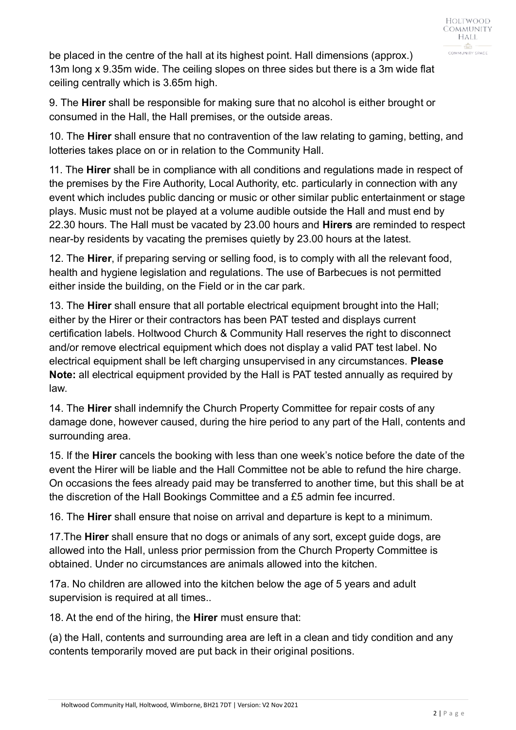be placed in the centre of the hall at its highest point. Hall dimensions (approx.) 13m long x 9.35m wide. The ceiling slopes on three sides but there is a 3m wide flat ceiling centrally which is 3.65m high.

9. The **Hirer** shall be responsible for making sure that no alcohol is either brought or consumed in the Hall, the Hall premises, or the outside areas.

10. The **Hirer** shall ensure that no contravention of the law relating to gaming, betting, and lotteries takes place on or in relation to the Community Hall.

11. The **Hirer** shall be in compliance with all conditions and regulations made in respect of the premises by the Fire Authority, Local Authority, etc. particularly in connection with any event which includes public dancing or music or other similar public entertainment or stage plays. Music must not be played at a volume audible outside the Hall and must end by 22.30 hours. The Hall must be vacated by 23.00 hours and **Hirers** are reminded to respect near-by residents by vacating the premises quietly by 23.00 hours at the latest.

12. The **Hirer**, if preparing serving or selling food, is to comply with all the relevant food, health and hygiene legislation and regulations. The use of Barbecues is not permitted either inside the building, on the Field or in the car park.

13. The **Hirer** shall ensure that all portable electrical equipment brought into the Hall; either by the Hirer or their contractors has been PAT tested and displays current certification labels. Holtwood Church & Community Hall reserves the right to disconnect and/or remove electrical equipment which does not display a valid PAT test label. No electrical equipment shall be left charging unsupervised in any circumstances. **Please Note:** all electrical equipment provided by the Hall is PAT tested annually as required by law.

14. The **Hirer** shall indemnify the Church Property Committee for repair costs of any damage done, however caused, during the hire period to any part of the Hall, contents and surrounding area.

15. If the **Hirer** cancels the booking with less than one week's notice before the date of the event the Hirer will be liable and the Hall Committee not be able to refund the hire charge. On occasions the fees already paid may be transferred to another time, but this shall be at the discretion of the Hall Bookings Committee and a £5 admin fee incurred.

16. The **Hirer** shall ensure that noise on arrival and departure is kept to a minimum.

17.The **Hirer** shall ensure that no dogs or animals of any sort, except guide dogs, are allowed into the Hall, unless prior permission from the Church Property Committee is obtained. Under no circumstances are animals allowed into the kitchen.

17a. No children are allowed into the kitchen below the age of 5 years and adult supervision is required at all times..

18. At the end of the hiring, the **Hirer** must ensure that:

(a) the Hall, contents and surrounding area are left in a clean and tidy condition and any contents temporarily moved are put back in their original positions.